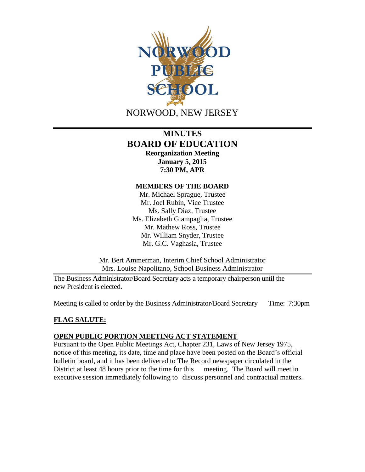

# **MINUTES BOARD OF EDUCATION Reorganization Meeting January 5, 2015 7:30 PM, APR**

## **MEMBERS OF THE BOARD**

Mr. Michael Sprague, Trustee Mr. Joel Rubin, Vice Trustee Ms. Sally Diaz, Trustee Ms. Elizabeth Giampaglia, Trustee Mr. Mathew Ross, Trustee Mr. William Snyder, Trustee Mr. G.C. Vaghasia, Trustee

Mr. Bert Ammerman, Interim Chief School Administrator Mrs. Louise Napolitano, School Business Administrator

The Business Administrator/Board Secretary acts a temporary chairperson until the new President is elected.

Meeting is called to order by the Business Administrator/Board Secretary Time: 7:30pm

# **FLAG SALUTE:**

## **OPEN PUBLIC PORTION MEETING ACT STATEMENT**

Pursuant to the Open Public Meetings Act, Chapter 231, Laws of New Jersey 1975, notice of this meeting, its date, time and place have been posted on the Board's official bulletin board, and it has been delivered to The Record newspaper circulated in the District at least 48 hours prior to the time for this meeting. The Board will meet in executive session immediately following to discuss personnel and contractual matters.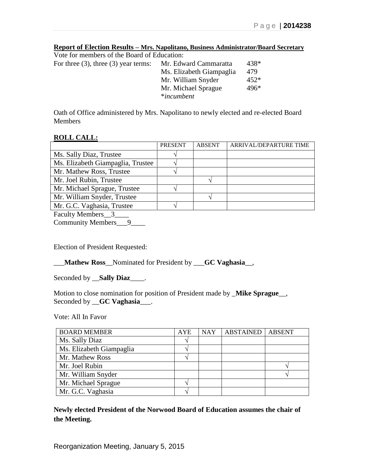|  |                                                                 |  |  |  | Report of Election Results - Mrs. Napolitano, Business Administrator/Board Secretary |  |
|--|-----------------------------------------------------------------|--|--|--|--------------------------------------------------------------------------------------|--|
|  | $\mathbf{v}$ and $\mathbf{v}$ and $\mathbf{v}$ and $\mathbf{v}$ |  |  |  |                                                                                      |  |

| Vote for members of the Board of Education: |                          |        |
|---------------------------------------------|--------------------------|--------|
| For three $(3)$ , three $(3)$ year terms:   | Mr. Edward Cammaratta    | 438*   |
|                                             | Ms. Elizabeth Giampaglia | 479    |
|                                             | Mr. William Snyder       | $452*$ |
|                                             | Mr. Michael Sprague      | $496*$ |
|                                             | *incumbent               |        |
|                                             |                          |        |

Oath of Office administered by Mrs. Napolitano to newly elected and re-elected Board Members

## **ROLL CALL:**

|                                   | <b>PRESENT</b> | <b>ABSENT</b> | ARRIVAL/DEPARTURE TIME |
|-----------------------------------|----------------|---------------|------------------------|
| Ms. Sally Diaz, Trustee           |                |               |                        |
| Ms. Elizabeth Giampaglia, Trustee |                |               |                        |
| Mr. Mathew Ross, Trustee          |                |               |                        |
| Mr. Joel Rubin, Trustee           |                |               |                        |
| Mr. Michael Sprague, Trustee      |                |               |                        |
| Mr. William Snyder, Trustee       |                |               |                        |
| Mr. G.C. Vaghasia, Trustee        |                |               |                        |

Faculty Members 3

Community Members\_9\_\_\_\_

Election of President Requested:

\_\_\_**Mathew Ross**\_\_Nominated for President by \_\_\_**GC Vaghasia**\_\_,

Seconded by \_\_**Sally Diaz**\_\_\_\_.

Motion to close nomination for position of President made by \_**Mike Sprague**\_\_, Seconded by \_\_**GC Vaghasia**\_\_\_.

Vote: All In Favor

| <b>BOARD MEMBER</b>      | <b>AYE</b> | <b>NAY</b> | <b>ABSTAINED   ABSENT</b> |  |
|--------------------------|------------|------------|---------------------------|--|
| Ms. Sally Diaz           |            |            |                           |  |
| Ms. Elizabeth Giampaglia |            |            |                           |  |
| Mr. Mathew Ross          |            |            |                           |  |
| Mr. Joel Rubin           |            |            |                           |  |
| Mr. William Snyder       |            |            |                           |  |
| Mr. Michael Sprague      |            |            |                           |  |
| Mr. G.C. Vaghasia        |            |            |                           |  |

**Newly elected President of the Norwood Board of Education assumes the chair of the Meeting.**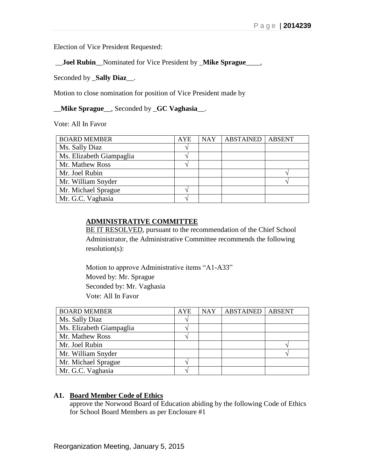Election of Vice President Requested:

\_\_**Joel Rubin**\_\_Nominated for Vice President by \_**Mike Sprague**\_\_\_\_,

Seconded by \_**Sally Diaz**\_\_.

Motion to close nomination for position of Vice President made by

\_\_**Mike Sprague**\_\_, Seconded by \_**GC Vaghasia**\_\_.

Vote: All In Favor

| <b>BOARD MEMBER</b>      | <b>AYE</b> | <b>NAY</b> | <b>ABSTAINED</b> | <b>ABSENT</b> |
|--------------------------|------------|------------|------------------|---------------|
| Ms. Sally Diaz           |            |            |                  |               |
| Ms. Elizabeth Giampaglia |            |            |                  |               |
| Mr. Mathew Ross          |            |            |                  |               |
| Mr. Joel Rubin           |            |            |                  |               |
| Mr. William Snyder       |            |            |                  |               |
| Mr. Michael Sprague      |            |            |                  |               |
| Mr. G.C. Vaghasia        |            |            |                  |               |

#### **ADMINISTRATIVE COMMITTEE**

BE IT RESOLVED, pursuant to the recommendation of the Chief School Administrator, the Administrative Committee recommends the following resolution(s):

Motion to approve Administrative items "A1-A33" Moved by: Mr. Sprague Seconded by: Mr. Vaghasia Vote: All In Favor

| <b>BOARD MEMBER</b>      | <b>AYE</b> | <b>NAY</b> | <b>ABSTAINED</b> | <b>ABSENT</b> |
|--------------------------|------------|------------|------------------|---------------|
| Ms. Sally Diaz           |            |            |                  |               |
| Ms. Elizabeth Giampaglia |            |            |                  |               |
| Mr. Mathew Ross          |            |            |                  |               |
| Mr. Joel Rubin           |            |            |                  |               |
| Mr. William Snyder       |            |            |                  |               |
| Mr. Michael Sprague      |            |            |                  |               |
| Mr. G.C. Vaghasia        |            |            |                  |               |

## **A1. Board Member Code of Ethics**

approve the Norwood Board of Education abiding by the following Code of Ethics for School Board Members as per Enclosure #1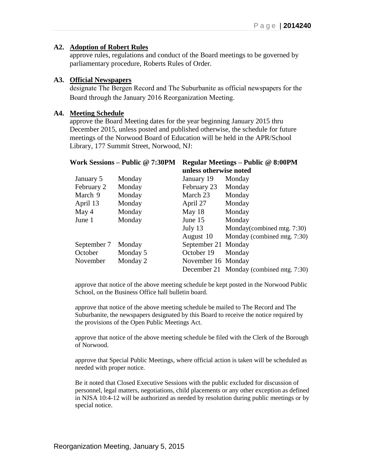## **A2. Adoption of Robert Rules**

approve rules, regulations and conduct of the Board meetings to be governed by parliamentary procedure, Roberts Rules of Order.

#### **A3. Official Newspapers**

designate The Bergen Record and The Suburbanite as official newspapers for the Board through the January 2016 Reorganization Meeting.

#### **A4. Meeting Schedule**

approve the Board Meeting dates for the year beginning January 2015 thru December 2015, unless posted and published otherwise, the schedule for future meetings of the Norwood Board of Education will be held in the APR/School Library, 177 Summit Street, Norwood, NJ:

|             | <b>Work Sessions – Public @ 7:30PM</b> | Regular Meetings – Public @ 8:00PM |                                         |  |  |
|-------------|----------------------------------------|------------------------------------|-----------------------------------------|--|--|
|             |                                        | unless otherwise noted             |                                         |  |  |
| January 5   | Monday                                 | January 19                         | Monday                                  |  |  |
| February 2  | Monday                                 | February 23                        | Monday                                  |  |  |
| March 9     | Monday                                 | March 23                           | Monday                                  |  |  |
| April 13    | Monday                                 | April 27                           | Monday                                  |  |  |
| May 4       | Monday                                 | May $18$                           | Monday                                  |  |  |
| June 1      | Monday                                 | June $15$                          | Monday                                  |  |  |
|             |                                        | July 13                            | Monday (combined mtg. 7:30)             |  |  |
|             |                                        | August 10                          | Monday (combined mtg. 7:30)             |  |  |
| September 7 | Monday                                 | September 21 Monday                |                                         |  |  |
| October     | Monday 5                               | October 19                         | Monday                                  |  |  |
| November    | Monday 2                               | November 16 Monday                 |                                         |  |  |
|             |                                        |                                    | December 21 Monday (combined mtg. 7:30) |  |  |
|             |                                        |                                    |                                         |  |  |

approve that notice of the above meeting schedule be kept posted in the Norwood Public School, on the Business Office hall bulletin board.

approve that notice of the above meeting schedule be mailed to The Record and The Suburbanite, the newspapers designated by this Board to receive the notice required by the provisions of the Open Public Meetings Act.

approve that notice of the above meeting schedule be filed with the Clerk of the Borough of Norwood.

approve that Special Public Meetings, where official action is taken will be scheduled as needed with proper notice.

Be it noted that Closed Executive Sessions with the public excluded for discussion of personnel, legal matters, negotiations, child placements or any other exception as defined in NJSA 10:4-12 will be authorized as needed by resolution during public meetings or by special notice.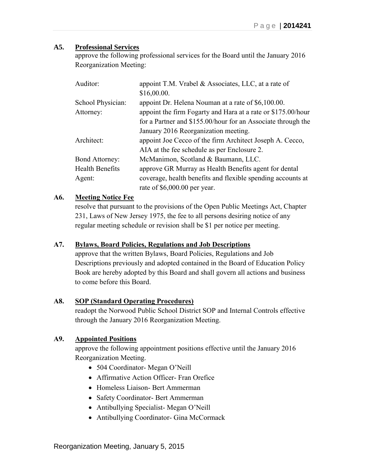## **A5. Professional Services**

approve the following professional services for the Board until the January 2016 Reorganization Meeting:

| Auditor:               | appoint T.M. Vrabel $\&$ Associates, LLC, at a rate of       |
|------------------------|--------------------------------------------------------------|
|                        | \$16,00.00.                                                  |
| School Physician:      | appoint Dr. Helena Nouman at a rate of \$6,100.00.           |
| Attorney:              | appoint the firm Fogarty and Hara at a rate or \$175.00/hour |
|                        | for a Partner and \$155.00/hour for an Associate through the |
|                        | January 2016 Reorganization meeting.                         |
| Architect:             | appoint Joe Cecco of the firm Architect Joseph A. Cecco,     |
|                        | AIA at the fee schedule as per Enclosure 2.                  |
| <b>Bond Attorney:</b>  | McManimon, Scotland & Baumann, LLC.                          |
| <b>Health Benefits</b> | approve GR Murray as Health Benefits agent for dental        |
| Agent:                 | coverage, health benefits and flexible spending accounts at  |
|                        | rate of $$6,000.00$ per year.                                |

# **A6. Meeting Notice Fee**

resolve that pursuant to the provisions of the Open Public Meetings Act, Chapter 231, Laws of New Jersey 1975, the fee to all persons desiring notice of any regular meeting schedule or revision shall be \$1 per notice per meeting.

# **A7. Bylaws, Board Policies, Regulations and Job Descriptions**

approve that the written Bylaws, Board Policies, Regulations and Job Descriptions previously and adopted contained in the Board of Education Policy Book are hereby adopted by this Board and shall govern all actions and business to come before this Board.

# **A8. SOP (Standard Operating Procedures)**

readopt the Norwood Public School District SOP and Internal Controls effective through the January 2016 Reorganization Meeting.

# **A9. Appointed Positions**

approve the following appointment positions effective until the January 2016 Reorganization Meeting.

- 504 Coordinator-Megan O'Neill
- Affirmative Action Officer- Fran Orefice
- Homeless Liaison- Bert Ammerman
- Safety Coordinator- Bert Ammerman
- Antibullying Specialist- Megan O'Neill
- Antibullying Coordinator- Gina McCormack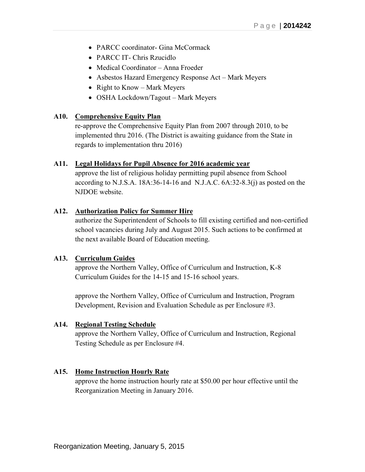- PARCC coordinator- Gina McCormack
- PARCC IT- Chris Rzucidlo
- Medical Coordinator Anna Froeder
- Asbestos Hazard Emergency Response Act Mark Meyers
- Right to Know Mark Meyers
- OSHA Lockdown/Tagout Mark Meyers

#### **A10. Comprehensive Equity Plan**

re-approve the Comprehensive Equity Plan from 2007 through 2010, to be implemented thru 2016. (The District is awaiting guidance from the State in regards to implementation thru 2016)

#### **A11. Legal Holidays for Pupil Absence for 2016 academic year**

approve the list of religious holiday permitting pupil absence from School according to N.J.S.A. 18A:36-14-16 and N.J.A.C. 6A:32-8.3(j) as posted on the NJDOE website.

## **A12. Authorization Policy for Summer Hire**

authorize the Superintendent of Schools to fill existing certified and non-certified school vacancies during July and August 2015. Such actions to be confirmed at the next available Board of Education meeting.

#### **A13. Curriculum Guides**

approve the Northern Valley, Office of Curriculum and Instruction, K-8 Curriculum Guides for the 14-15 and 15-16 school years.

approve the Northern Valley, Office of Curriculum and Instruction, Program Development, Revision and Evaluation Schedule as per Enclosure #3.

#### **A14. Regional Testing Schedule**

approve the Northern Valley, Office of Curriculum and Instruction, Regional Testing Schedule as per Enclosure #4.

#### **A15. Home Instruction Hourly Rate**

approve the home instruction hourly rate at \$50.00 per hour effective until the Reorganization Meeting in January 2016.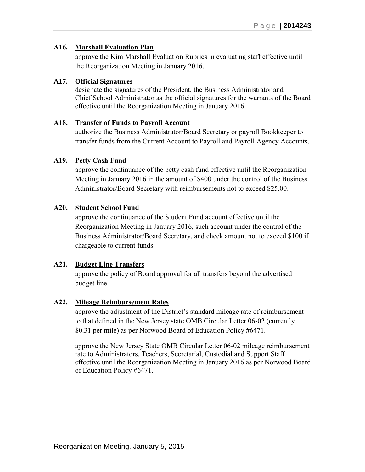# **A16. Marshall Evaluation Plan**

approve the Kim Marshall Evaluation Rubrics in evaluating staff effective until the Reorganization Meeting in January 2016.

## **A17. Official Signatures**

designate the signatures of the President, the Business Administrator and Chief School Administrator as the official signatures for the warrants of the Board effective until the Reorganization Meeting in January 2016.

## **A18. Transfer of Funds to Payroll Account**

authorize the Business Administrator/Board Secretary or payroll Bookkeeper to transfer funds from the Current Account to Payroll and Payroll Agency Accounts.

# **A19. Petty Cash Fund**

approve the continuance of the petty cash fund effective until the Reorganization Meeting in January 2016 in the amount of \$400 under the control of the Business Administrator/Board Secretary with reimbursements not to exceed \$25.00.

## **A20. Student School Fund**

approve the continuance of the Student Fund account effective until the Reorganization Meeting in January 2016, such account under the control of the Business Administrator/Board Secretary, and check amount not to exceed \$100 if chargeable to current funds.

# **A21. Budget Line Transfers**

approve the policy of Board approval for all transfers beyond the advertised budget line.

# **A22. Mileage Reimbursement Rates**

approve the adjustment of the District's standard mileage rate of reimbursement to that defined in the New Jersey state OMB Circular Letter 06-02 (currently \$0.31 per mile) as per Norwood Board of Education Policy **#**6471.

approve the New Jersey State OMB Circular Letter 06-02 mileage reimbursement rate to Administrators, Teachers, Secretarial, Custodial and Support Staff effective until the Reorganization Meeting in January 2016 as per Norwood Board of Education Policy #6471.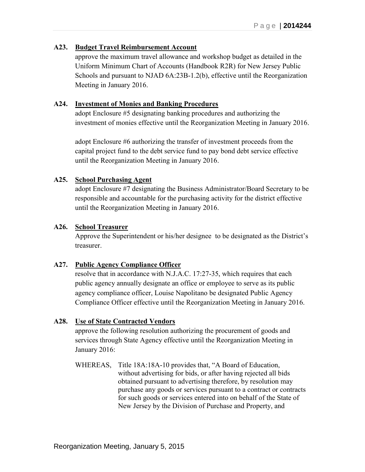## **A23. Budget Travel Reimbursement Account**

approve the maximum travel allowance and workshop budget as detailed in the Uniform Minimum Chart of Accounts (Handbook R2R) for New Jersey Public Schools and pursuant to NJAD 6A:23B-1.2(b), effective until the Reorganization Meeting in January 2016.

## **A24. Investment of Monies and Banking Procedures**

adopt Enclosure #5 designating banking procedures and authorizing the investment of monies effective until the Reorganization Meeting in January 2016.

adopt Enclosure #6 authorizing the transfer of investment proceeds from the capital project fund to the debt service fund to pay bond debt service effective until the Reorganization Meeting in January 2016.

## **A25. School Purchasing Agent**

adopt Enclosure #7 designating the Business Administrator/Board Secretary to be responsible and accountable for the purchasing activity for the district effective until the Reorganization Meeting in January 2016.

#### **A26. School Treasurer**

Approve the Superintendent or his/her designee to be designated as the District's treasurer.

# **A27. Public Agency Compliance Officer**

resolve that in accordance with N.J.A.C. 17:27-35, which requires that each public agency annually designate an office or employee to serve as its public agency compliance officer, Louise Napolitano be designated Public Agency Compliance Officer effective until the Reorganization Meeting in January 2016.

# **A28. Use of State Contracted Vendors**

approve the following resolution authorizing the procurement of goods and services through State Agency effective until the Reorganization Meeting in January 2016:

WHEREAS, Title 18A:18A-10 provides that, "A Board of Education, without advertising for bids, or after having rejected all bids obtained pursuant to advertising therefore, by resolution may purchase any goods or services pursuant to a contract or contracts for such goods or services entered into on behalf of the State of New Jersey by the Division of Purchase and Property, and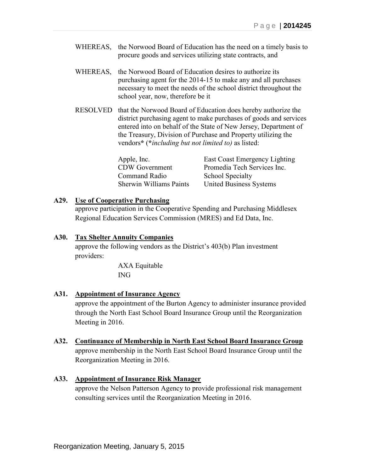- WHEREAS, the Norwood Board of Education has the need on a timely basis to procure goods and services utilizing state contracts, and
- WHEREAS, the Norwood Board of Education desires to authorize its purchasing agent for the 2014-15 to make any and all purchases necessary to meet the needs of the school district throughout the school year, now, therefore be it
- RESOLVED that the Norwood Board of Education does hereby authorize the district purchasing agent to make purchases of goods and services entered into on behalf of the State of New Jersey, Department of the Treasury, Division of Purchase and Property utilizing the vendors**\*** (**\****including but not limited to)* as listed:

Apple, Inc. East Coast Emergency Lighting CDW Government Promedia Tech Services Inc. Command Radio School Specialty Sherwin Williams Paints United Business Systems

#### **A29. Use of Cooperative Purchasing**

approve participation in the Cooperative Spending and Purchasing Middlesex Regional Education Services Commission (MRES) and Ed Data, Inc.

### **A30. Tax Shelter Annuity Companies**

approve the following vendors as the District's 403(b) Plan investment providers:

> AXA Equitable ING

#### **A31. Appointment of Insurance Agency**

approve the appointment of the Burton Agency to administer insurance provided through the North East School Board Insurance Group until the Reorganization Meeting in 2016.

**A32. Continuance of Membership in North East School Board Insurance Group** approve membership in the North East School Board Insurance Group until the Reorganization Meeting in 2016.

#### **A33. Appointment of Insurance Risk Manager**

approve the Nelson Patterson Agency to provide professional risk management consulting services until the Reorganization Meeting in 2016.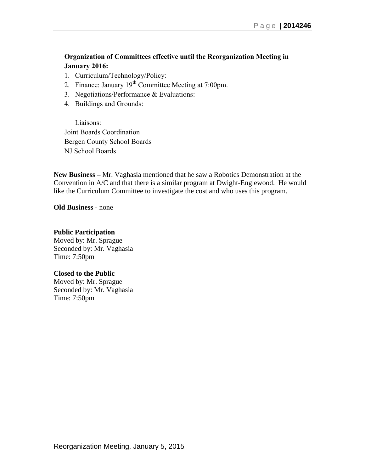# **Organization of Committees effective until the Reorganization Meeting in January 2016:**

- 1. Curriculum/Technology/Policy:
- 2. Finance: January  $19<sup>th</sup>$  Committee Meeting at 7:00pm.
- 3. Negotiations/Performance & Evaluations:
- 4. Buildings and Grounds:

Liaisons: Joint Boards Coordination Bergen County School Boards NJ School Boards

**New Business –** Mr. Vaghasia mentioned that he saw a Robotics Demonstration at the Convention in A/C and that there is a similar program at Dwight-Englewood. He would like the Curriculum Committee to investigate the cost and who uses this program.

**Old Business** - none

# **Public Participation**

Moved by: Mr. Sprague Seconded by: Mr. Vaghasia Time: 7:50pm

# **Closed to the Public**

Moved by: Mr. Sprague Seconded by: Mr. Vaghasia Time: 7:50pm